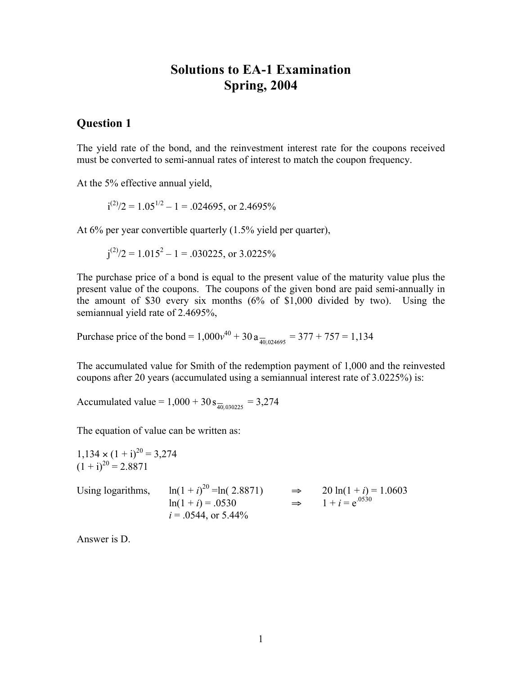# **Solutions to EA-1 Examination Spring, 2004**

## **Question 1**

The yield rate of the bond, and the reinvestment interest rate for the coupons received must be converted to semi-annual rates of interest to match the coupon frequency.

At the 5% effective annual yield,

$$
i^{(2)}/2 = 1.05^{1/2} - 1 = .024695
$$
, or 2.4695%

At 6% per year convertible quarterly (1.5% yield per quarter),

$$
j^{(2)}/2 = 1.015^2 - 1 = .030225
$$
, or 3.0225%

The purchase price of a bond is equal to the present value of the maturity value plus the present value of the coupons. The coupons of the given bond are paid semi-annually in the amount of \$30 every six months (6% of \$1,000 divided by two). Using the semiannual yield rate of 2.4695%,

Purchase price of the bond =  $1,000v^{40} + 30a_{\frac{100004695}{40004695}} = 377 + 757 = 1,134$ 

The accumulated value for Smith of the redemption payment of 1,000 and the reinvested coupons after 20 years (accumulated using a semiannual interest rate of 3.0225%) is:

Accumulated value =  $1,000 + 30 s_{\frac{1}{401030225}} = 3,274$ 

The equation of value can be written as:

 $1,134 \times (1 + i)^{20} = 3,274$  $(1 + i)^{20} = 2.8871$ Using logarithms, <sup>20</sup> =ln( 2.8871) ⇒ 20 ln(1 + *i*) = 1.0603  $ln(1 + i) = .0530$  ⇒  $1 + i = e^{.0530}$  $i = 0.0544$ , or  $5.44\%$ 

Answer is D.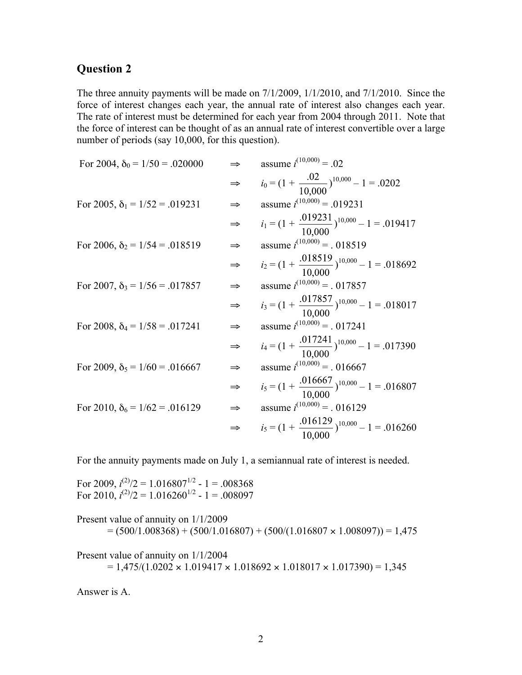The three annuity payments will be made on 7/1/2009, 1/1/2010, and 7/1/2010. Since the force of interest changes each year, the annual rate of interest also changes each year. The rate of interest must be determined for each year from 2004 through 2011. Note that the force of interest can be thought of as an annual rate of interest convertible over a large number of periods (say 10,000, for this question).

| For 2004, $\delta_0 = 1/50 = .020000$ |               | assume $i^{(10,000)} = .02$                                 |
|---------------------------------------|---------------|-------------------------------------------------------------|
|                                       |               | $i_0 = (1 + \frac{.02}{10.000})^{10,000} - 1 = .0202$       |
| For 2005, $\delta_1 = 1/52 = .019231$ |               | assume $i^{(10,000)} = .019231$                             |
|                                       | ⇒             | $i_1 = (1 + \frac{.019231}{10.000})^{10,000} - 1 = .019417$ |
| For 2006, $\delta_2 = 1/54 = .018519$ |               | assume $i^{(10,000)}$ = . 018519                            |
|                                       |               | $i_2 = (1 + \frac{.018519}{10000})^{10,000} - 1 = .018692$  |
| For 2007, $\delta_3 = 1/56 = .017857$ | $\Rightarrow$ | assume $i^{(10,000)}$ = . 017857                            |
|                                       | $\Rightarrow$ | $i_3 = (1 + \frac{.017857}{10,000})^{10,000} - 1 = .018017$ |
| For 2008, $\delta_4 = 1/58 = .017241$ |               | assume $i^{(10,000)}$ = . 017241                            |
|                                       | ⇒             | $i_4 = (1 + \frac{.017241}{10000})^{10,000} - 1 = .017390$  |
| For 2009, $\delta_5 = 1/60 = .016667$ |               | assume $i^{(10,000)}$ = . 016667                            |
|                                       | ⇒             | $i_5 = (1 + \frac{.016667}{10,000})^{10,000} - 1 = .016807$ |
| For 2010, $\delta_6 = 1/62 = .016129$ | ⇒             | assume $i^{(10,000)}$ = . 016129                            |
|                                       | $\Rightarrow$ | $i_5 = (1 + \frac{.016129}{10,000})^{10,000} - 1 = .016260$ |

For the annuity payments made on July 1, a semiannual rate of interest is needed.

For 2009,  $i^{(2)}/2 = 1.016807^{1/2}$  - 1 = .008368 For 2010,  $i^{(2)}/2 = 1.016260^{1/2} - 1 = .008097$ 

Present value of annuity on 1/1/2009  $= (500/1.008368) + (500/1.016807) + (500/(1.016807 \times 1.008097)) = 1,475$ 

Present value of annuity on 1/1/2004  $= 1,475/(1.0202 \times 1.019417 \times 1.018692 \times 1.018017 \times 1.017390) = 1,345$ 

Answer is A.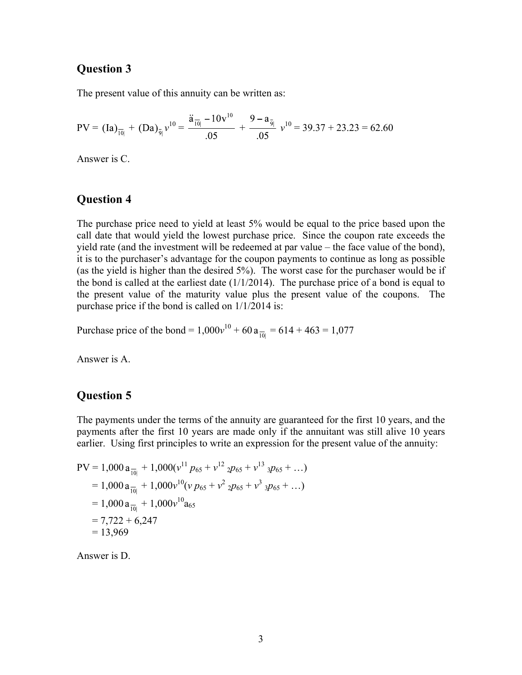The present value of this annuity can be written as:

$$
PV = (Ia)_{\overline{10}|} + (Da)_{\overline{9}|}v^{10} = \frac{\ddot{a}_{\overline{10}|} - 10v^{10}}{.05} + \frac{9 - a_{\overline{9}|}}{.05}v^{10} = 39.37 + 23.23 = 62.60
$$

Answer is C.

### **Question 4**

The purchase price need to yield at least 5% would be equal to the price based upon the call date that would yield the lowest purchase price. Since the coupon rate exceeds the yield rate (and the investment will be redeemed at par value – the face value of the bond), it is to the purchaser's advantage for the coupon payments to continue as long as possible (as the yield is higher than the desired 5%). The worst case for the purchaser would be if the bond is called at the earliest date  $(1/1/2014)$ . The purchase price of a bond is equal to the present value of the maturity value plus the present value of the coupons. The purchase price if the bond is called on 1/1/2014 is:

Purchase price of the bond =  $1,000v^{10} + 60a_{\overline{10}} = 614 + 463 = 1,077$ 

Answer is A.

## **Question 5**

The payments under the terms of the annuity are guaranteed for the first 10 years, and the payments after the first 10 years are made only if the annuitant was still alive 10 years earlier. Using first principles to write an expression for the present value of the annuity:

$$
PV = 1,000 a_{\overline{10}|} + 1,000(v^{11} p_{65} + v^{12} 2p_{65} + v^{13} 3p_{65} + ...)
$$
  
= 1,000 a\_{\overline{10}|} + 1,000v^{10}(v p\_{65} + v^2 2p\_{65} + v^3 3p\_{65} + ...)  
= 1,000 a\_{\overline{10}|} + 1,000v^{10} a\_{65}  
= 7,722 + 6,247  
= 13,969

Answer is D.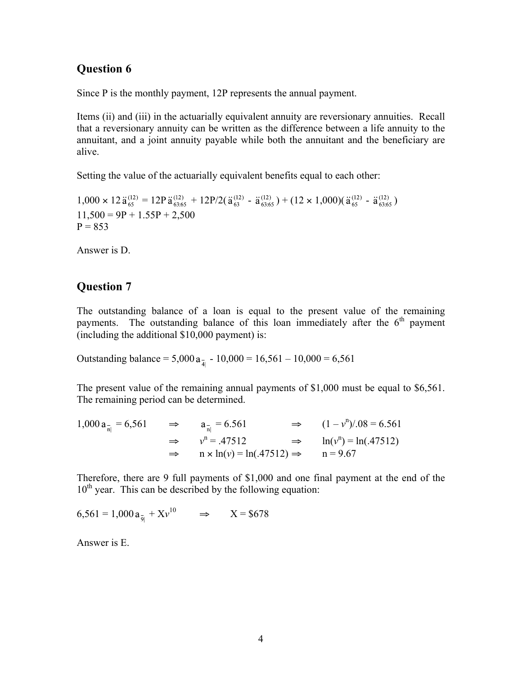Since P is the monthly payment, 12P represents the annual payment.

Items (ii) and (iii) in the actuarially equivalent annuity are reversionary annuities. Recall that a reversionary annuity can be written as the difference between a life annuity to the annuitant, and a joint annuity payable while both the annuitant and the beneficiary are alive.

Setting the value of the actuarially equivalent benefits equal to each other:

 $1,000 \times 12 \ddot{a}_{65}^{(12)} = 12P \ddot{a}_{6365}^{(12)} + 12P/2(\ddot{a}_{63}^{(12)} - \ddot{a}_{6365}^{(12)}) + (12 \times 1,000)(\ddot{a}_{65}^{(12)} - \ddot{a}_{6365}^{(12)})$  $11,500 = 9P + 1.55P + 2,500$  $P = 853$ 

Answer is D.

## **Question 7**

The outstanding balance of a loan is equal to the present value of the remaining payments. The outstanding balance of this loan immediately after the  $6<sup>th</sup>$  payment (including the additional \$10,000 payment) is:

Outstanding balance = 5,000  $a_{\overline{a}}$  - 10,000 = 16,561 – 10,000 = 6,561

The present value of the remaining annual payments of \$1,000 must be equal to \$6,561. The remaining period can be determined.

$$
1,000 a_{\frac{1}{n}} = 6,561 \qquad \Rightarrow \qquad a_{\frac{1}{n}} = 6.561 \qquad \Rightarrow \qquad (1 - v^{n}) / .08 = 6.561
$$
  

$$
\Rightarrow \qquad v^{n} = .47512 \qquad \Rightarrow \qquad \ln(v^{n}) = \ln(.47512)
$$
  

$$
\Rightarrow \qquad n \times \ln(v) = \ln(.47512) \Rightarrow \qquad n = 9.67
$$

Therefore, there are 9 full payments of \$1,000 and one final payment at the end of the  $10<sup>th</sup>$  year. This can be described by the following equation:

$$
6,561 = 1,000 \, \text{a}_{\bar{9}|} + \text{Xv}^{10} \qquad \Rightarrow \qquad \text{X} = \$678
$$

Answer is E.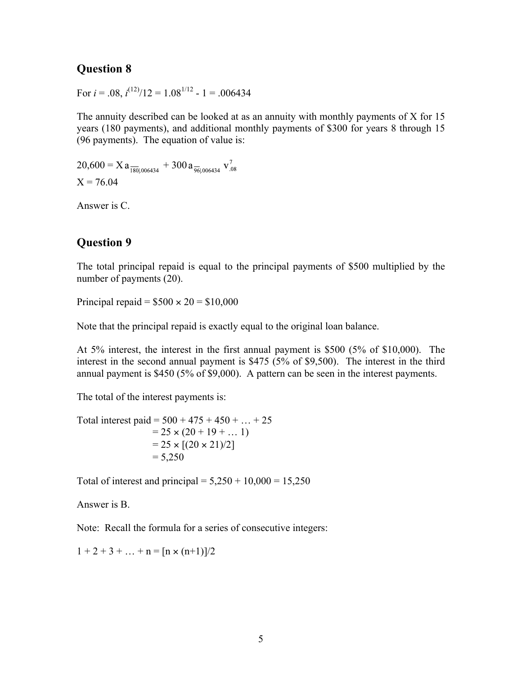For  $i = .08$ ,  $i^{(12)}/12 = 1.08^{1/12} - 1 = .006434$ 

The annuity described can be looked at as an annuity with monthly payments of X for 15 years (180 payments), and additional monthly payments of \$300 for years 8 through 15 (96 payments). The equation of value is:

 $20,600 = X a_{\frac{180(0.006434)}{180(0.006434)}} + 300 a_{\frac{96(0.006434)}{96(0.006434)}}$  $X = 76.04$ 

Answer is C.

## **Question 9**

The total principal repaid is equal to the principal payments of \$500 multiplied by the number of payments (20).

Principal repaid =  $$500 \times 20 = $10,000$ 

Note that the principal repaid is exactly equal to the original loan balance.

At 5% interest, the interest in the first annual payment is \$500 (5% of \$10,000). The interest in the second annual payment is \$475 (5% of \$9,500). The interest in the third annual payment is \$450 (5% of \$9,000). A pattern can be seen in the interest payments.

The total of the interest payments is:

Total interest paid =  $500 + 475 + 450 + ... + 25$  $= 25 \times (20 + 19 + \dots 1)$  $= 25 \times [(20 \times 21)/2]$  $= 5,250$ 

Total of interest and principal =  $5,250 + 10,000 = 15,250$ 

Answer is B.

Note: Recall the formula for a series of consecutive integers:

 $1 + 2 + 3 + \ldots + n = \frac{n \times (n+1)}{2}$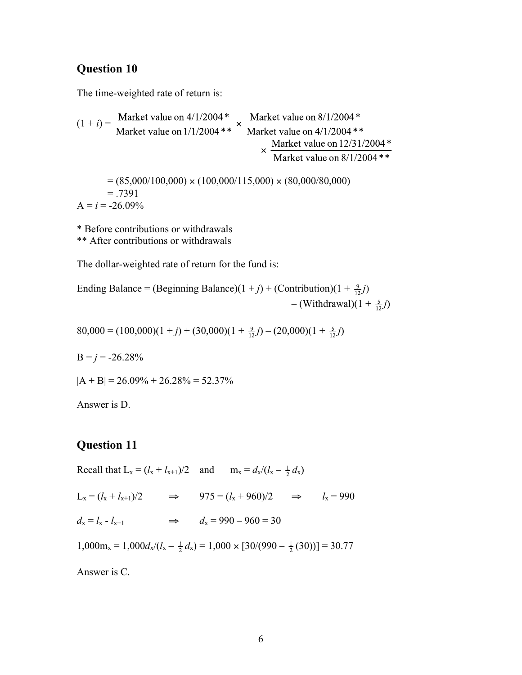The time-weighted rate of return is:

$$
(1 + i) = \frac{\text{Market value on } 4/1/2004*}{\text{Market value on } 1/1/2004**} \times \frac{\text{Market value on } 8/1/2004*}{\text{Market value on } 4/1/2004**} \times \frac{\text{Market value on } 1/1/2004*}{\text{Market value on } 12/31/2004*}} \times (85,000/100,000) \times (100,000/115,000) \times (80,000/80,000)
$$

 $=.7391$  $A = i = -26.09\%$ 

\* Before contributions or withdrawals \*\* After contributions or withdrawals

The dollar-weighted rate of return for the fund is:

Ending Balance = (Beginning Balance)(1+j) + (Contribution)(1 + 
$$
\frac{9}{12}j
$$
)

\n
$$
- (Without (1 +  $j$ ))
$$
)

80,000 =  $(100,000)(1+j) + (30,000)(1 + \frac{9}{12}j) - (20,000)(1 + \frac{5}{12}j)$ 

 $B = j = -26.28\%$ 

$$
|A + B| = 26.09\% + 26.28\% = 52.37\%
$$

Answer is D.

#### **Question 11**

Recall that  $L_x = (l_x + l_{x+1})/2$  and  $m_x = d_x/(l_x - \frac{1}{2} d_x)$ 

 $L_x = (l_x + l_{x+1})/2$  ⇒ 975 =  $(l_x + 960)/2$  ⇒  $l_x = 990$  $d_x = l_x - l_{x+1}$   $\implies$   $d_x = 990 - 960 = 30$ 

 $1,000m_x = 1,000d_x/(l_x - \frac{1}{2}d_x) = 1,000 \times [30/(990 - \frac{1}{2}(30))] = 30.77$ 

Answer is C.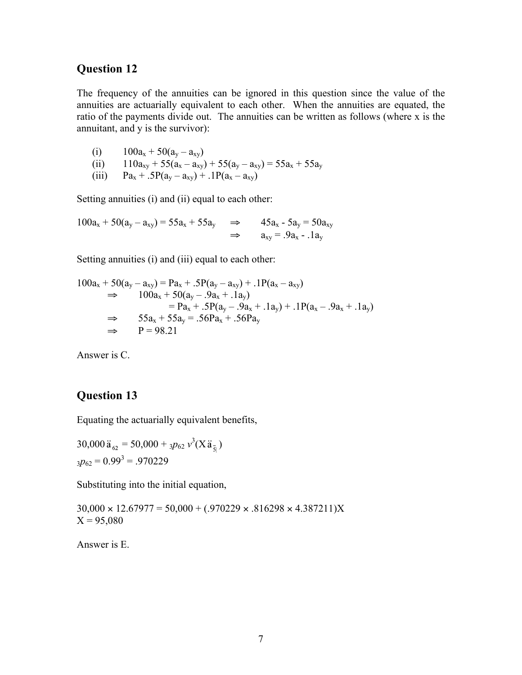The frequency of the annuities can be ignored in this question since the value of the annuities are actuarially equivalent to each other. When the annuities are equated, the ratio of the payments divide out. The annuities can be written as follows (where x is the annuitant, and y is the survivor):

(i)  $100a_x + 50(a_y - a_{xy})$ (ii)  $110a_{xy} + 55(a_x - a_{xy}) + 55(a_y - a_{xy}) = 55a_x + 55a_y$ <br>
(iii)  $Pa_x + .5P(a_y - a_{xy}) + .1P(a_x - a_{xy})$ 

 $Pa_x + .5P(a_y - a_{xy}) + .1P(a_x - a_{xy})$ 

Setting annuities (i) and (ii) equal to each other:

 $100a_x + 50(a_y - a_{xy}) = 55a_x + 55a_y$ ⇒  $45a_x - 5a_y = 50a_{xy}$ <br>
⇒  $a_{xy} = .9a_x - .1a_y$ 

Setting annuities (i) and (iii) equal to each other:

$$
100a_x + 50(a_y - a_{xy}) = Pa_x + .5P(a_y - a_{xy}) + .1P(a_x - a_{xy})
$$
  
\n
$$
\Rightarrow 100a_x + 50(a_y - .9a_x + .1a_y)
$$
  
\n
$$
= Pa_x + .5P(a_y - .9a_x + .1a_y) + .1P(a_x - .9a_x + .1a_y)
$$
  
\n
$$
\Rightarrow 55a_x + 55a_y = .56Pa_x + .56Pa_y
$$
  
\n
$$
\Rightarrow P = 98.21
$$

Answer is C.

#### **Question 13**

Equating the actuarially equivalent benefits,

$$
30,000 \ddot{a}_{62} = 50,000 + 3p_{62} v^3 (X \ddot{a}_{\bar{5}|})
$$
  

$$
3p_{62} = 0.99^3 = .970229
$$

Substituting into the initial equation,

 $30,000 \times 12.67977 = 50,000 + (0.970229 \times 0.816298 \times 4.387211)X$  $X = 95,080$ 

Answer is E.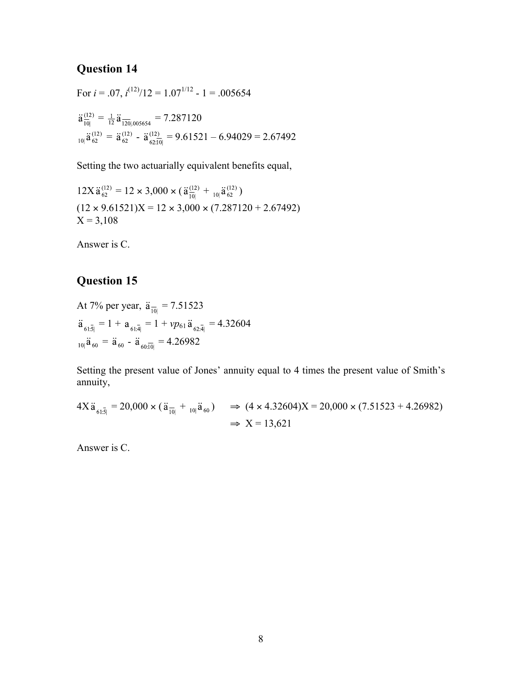For  $i = .07$ ,  $i^{(12)}/12 = 1.07^{1/12} - 1 = .005654$  $\ddot{a}_{\overline{10}|}^{(12)} = \frac{1}{12} \ddot{a}_{\overline{120}|.005654} = 7.287120$  $_{10|}\ddot{a}_{62}^{(12)} = \ddot{a}_{62}^{(12)} - \ddot{a}_{62,\overline{10}|}^{(12)} = 9.61521 - 6.94029 = 2.67492$ 

Setting the two actuarially equivalent benefits equal,

 $12X \ddot{a}_{62}^{(12)} = 12 \times 3{,}000 \times (\ddot{a}_{10}^{(12)} + {}_{10} \ddot{a}_{62}^{(12)})$  $(12 \times 9.61521)X = 12 \times 3,000 \times (7.287120 + 2.67492)$  $X = 3,108$ 

Answer is C.

## **Question 15**

At 7% per year,  $\ddot{a}_{\overline{10|}} = 7.51523$  $\ddot{a}_{61\bar{3}} = 1 + a_{61\bar{4}} = 1 + vp_{61}\ddot{a}_{62\bar{4}} = 4.32604$  $_{10|}$  $\ddot{a}_{60}$  =  $\ddot{a}_{60}$  -  $\ddot{a}_{60:\overline{10|}}$  = 4.26982

Setting the present value of Jones' annuity equal to 4 times the present value of Smith's annuity,

$$
4X \ddot{a}_{61:\bar{5}|} = 20,000 \times (\ddot{a}_{\bar{10}|} + {}_{10} \ddot{a}_{60}) \implies (4 \times 4.32604)X = 20,000 \times (7.51523 + 4.26982)
$$
  

$$
\implies X = 13,621
$$

Answer is C.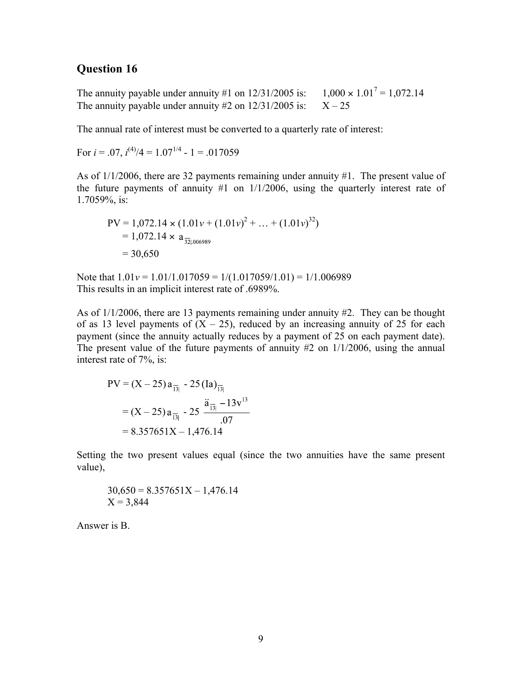The annuity payable under annuity #1 on  $12/31/2005$  is: 1,000  $\times$ <br>The annuity payable under annuity #2 on  $12/31/2005$  is:  $X - 25$  $1,000 \times 1.01^7 = 1,072.14$ The annuity payable under annuity  $#2$  on  $12/31/2005$  is:

The annual rate of interest must be converted to a quarterly rate of interest:

For 
$$
i = .07
$$
,  $i^{(4)}/4 = 1.07^{1/4} - 1 = .017059$ 

As of 1/1/2006, there are 32 payments remaining under annuity #1. The present value of the future payments of annuity  $#1$  on  $1/1/2006$ , using the quarterly interest rate of 1.7059%, is:

$$
PV = 1,072.14 \times (1.01v + (1.01v)^{2} + ... + (1.01v)^{32})
$$
  
= 1,072.14 x a<sub>32|,006989</sub>  
= 30,650

Note that  $1.01v = 1.01/1.017059 = 1/(1.017059/1.01) = 1/1.006989$ This results in an implicit interest rate of .6989%.

As of 1/1/2006, there are 13 payments remaining under annuity #2. They can be thought of as 13 level payments of  $(X - 25)$ , reduced by an increasing annuity of 25 for each payment (since the annuity actually reduces by a payment of 25 on each payment date). The present value of the future payments of annuity #2 on 1/1/2006, using the annual interest rate of 7%, is:

PV = 
$$
(X - 25) a_{\overline{13}|} - 25 (\text{Ia})_{\overline{13}|}
$$
  
=  $(X - 25) a_{\overline{13}|} - 25 \frac{\ddot{a}_{\overline{13}|} - 13v^{13}}{.07}$   
= 8.357651X - 1,476.14

Setting the two present values equal (since the two annuities have the same present value),

$$
30,650 = 8.357651X - 1,476.14
$$
  
X = 3,844

Answer is B.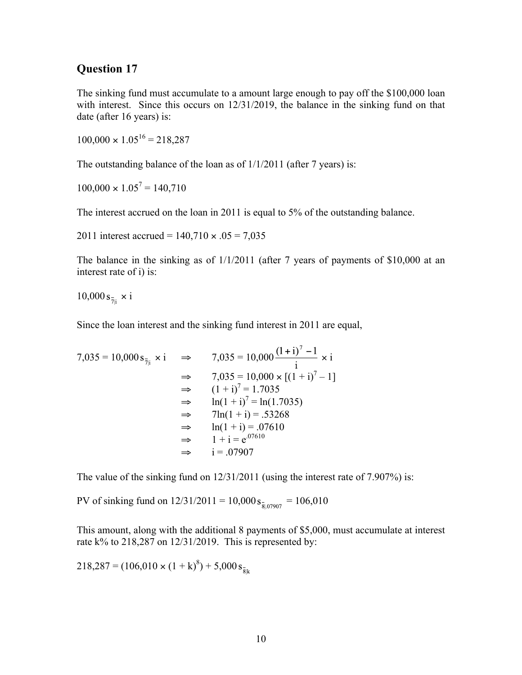The sinking fund must accumulate to a amount large enough to pay off the \$100,000 loan with interest. Since this occurs on  $12/31/2019$ , the balance in the sinking fund on that date (after 16 years) is:

 $100,000 \times 1.05^{16} = 218,287$ 

The outstanding balance of the loan as of 1/1/2011 (after 7 years) is:

 $100,000 \times 1.05^7 = 140,710$ 

The interest accrued on the loan in 2011 is equal to 5% of the outstanding balance.

2011 interest accrued =  $140,710 \times .05 = 7,035$ 

The balance in the sinking as of 1/1/2011 (after 7 years of payments of \$10,000 at an interest rate of i) is:

 $10,000 s_{\frac{1}{7}} \times i$ 

Since the loan interest and the sinking fund interest in 2011 are equal,

$$
7,035 = 10,000 \text{ s}_{\bar{7}|i} \times i \implies 7,035 = 10,000 \frac{(1+i)^{7} - 1}{i} \times i
$$
  
\n
$$
\implies 7,035 = 10,000 \times [(1+i)^{7} - 1]
$$
  
\n
$$
\implies (1+i)^{7} = 1.7035
$$
  
\n
$$
\implies \ln(1+i)^{7} = \ln(1.7035)
$$
  
\n
$$
\implies 7\ln(1+i) = .53268
$$
  
\n
$$
\implies \ln(1+i) = .07610
$$
  
\n
$$
\implies 1 + i = e^{.07610}
$$
  
\n
$$
\implies i = .07907
$$

The value of the sinking fund on 12/31/2011 (using the interest rate of 7.907%) is:

PV of sinking fund on  $12/31/2011 = 10,000 s_{\frac{1}{8107907}} = 106,010$ 

This amount, along with the additional 8 payments of \$5,000, must accumulate at interest rate k% to 218,287 on 12/31/2019. This is represented by:

$$
218,287 = (106,010 \times (1 + k)^8) + 5,000 s_{\bar{8}k}
$$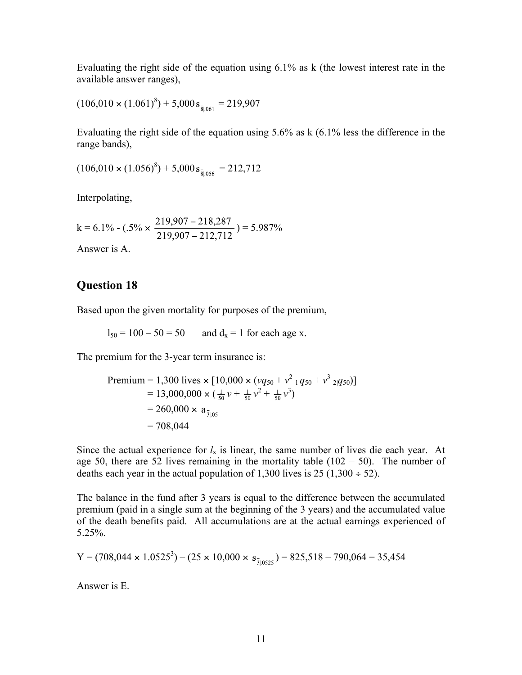Evaluating the right side of the equation using 6.1% as k (the lowest interest rate in the available answer ranges),

$$
(106,010 \times (1.061)^8) + 5,000 s_{\frac{1}{20,061}} = 219,907
$$

Evaluating the right side of the equation using 5.6% as k (6.1% less the difference in the range bands),

 $(106,010 \times (1.056)^8) + 5,000 s_{\frac{1}{2}0.056} = 212,712$ 

Interpolating,

 $k = 6.1\% - (.5\% \times \frac{219,907 - 218,287}{219,907 - 212,712}) = 5.987\%$ 

Answer is A.

## **Question 18**

Based upon the given mortality for purposes of the premium,

 $l_{50} = 100 - 50 = 50$  and  $d_x = 1$  for each age x.

The premium for the 3-year term insurance is:

Premium = 1,300 lives × [10,000 × (*vq*<sub>50</sub> + *v*<sup>2</sup> <sub>1|</sub>*q*<sub>50</sub> + *v*<sup>3</sup> <sub>2|</sub>*q*<sub>50</sub>)]

\n
$$
= 13,000,000 × (\frac{1}{50}v + \frac{1}{50}v^{2} + \frac{1}{50}v^{3})
$$
\n
$$
= 260,000 × a_{\frac{1}{3}0.05}
$$
\n
$$
= 708,044
$$

Since the actual experience for  $l<sub>x</sub>$  is linear, the same number of lives die each year. At age 50, there are 52 lives remaining in the mortality table  $(102 - 50)$ . The number of deaths each year in the actual population of 1,300 lives is  $25 (1,300 \div 52)$ .

The balance in the fund after 3 years is equal to the difference between the accumulated premium (paid in a single sum at the beginning of the 3 years) and the accumulated value of the death benefits paid. All accumulations are at the actual earnings experienced of 5.25%.

Y = 
$$
(708,044 \times 1.0525^3) - (25 \times 10,000 \times s_{\frac{1}{30525}}) = 825,518 - 790,064 = 35,454
$$

Answer is E.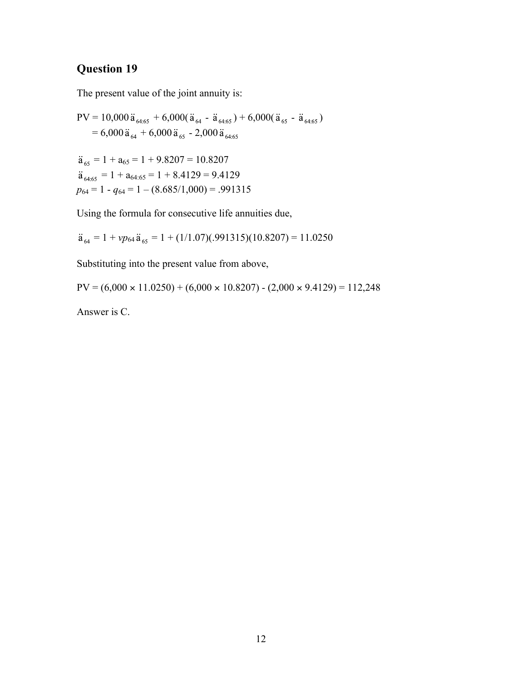The present value of the joint annuity is:

PV = 10,000 
$$
\ddot{a}_{64.65} + 6,000(\ddot{a}_{64} - \ddot{a}_{64.65}) + 6,000(\ddot{a}_{65} - \ddot{a}_{64.65})
$$
  
\n= 6,000  $\ddot{a}_{64} + 6,000 \ddot{a}_{65} - 2,000 \ddot{a}_{64.65}$   
\n $\ddot{a}_{65} = 1 + a_{65} = 1 + 9.8207 = 10.8207$   
\n $\ddot{a}_{64.65} = 1 + a_{64.65} = 1 + 8.4129 = 9.4129$   
\n $p_{64} = 1 - q_{64} = 1 - (8.685/1,000) = .991315$ 

Using the formula for consecutive life annuities due,

 $\ddot{a}_{64} = 1 + vp_{64} \ddot{a}_{65} = 1 + (1/1.07)(.991315)(10.8207) = 11.0250$ 

Substituting into the present value from above,

 $PV = (6,000 \times 11.0250) + (6,000 \times 10.8207) - (2,000 \times 9.4129) = 112,248$ 

Answer is C.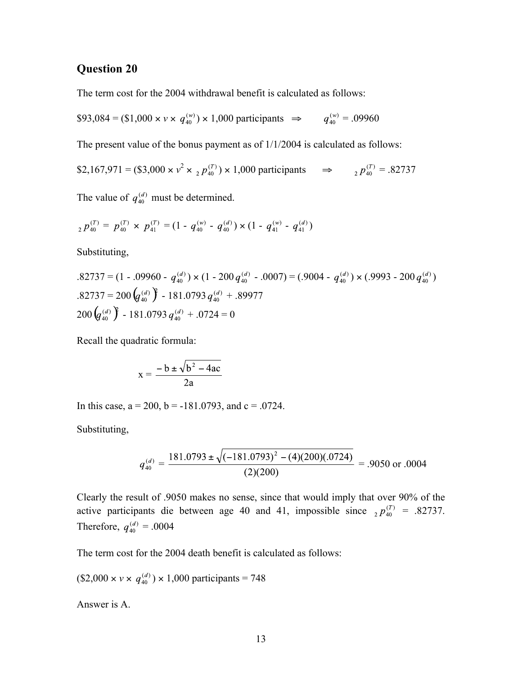The term cost for the 2004 withdrawal benefit is calculated as follows:

\$93,084 = (\$1,000 
$$
\times
$$
 v  $\times$  q<sub>40</sub><sup>(w)</sup>)  $\times$  1,000 participants  $\Rightarrow$  q<sub>40</sub><sup>(w)</sup> = .09960

The present value of the bonus payment as of 1/1/2004 is calculated as follows:

\$2,167,971 = (\$3,000 × *v* 2 × ) × 1,000 participants ⇒ = .82737

The value of  $q_{40}^{(d)}$  must be determined.

$$
{}_{2}p_{40}^{(T)} = p_{40}^{(T)} \times p_{41}^{(T)} = (1 - q_{40}^{(w)} - q_{40}^{(d)}) \times (1 - q_{41}^{(w)} - q_{41}^{(d)})
$$

Substituting,

$$
.82737 = (1 - .09960 - q_{40}^{(d)}) \times (1 - 200 q_{40}^{(d)} - .0007) = (.9004 - q_{40}^{(d)}) \times (.9993 - 200 q_{40}^{(d)})
$$
  
.82737 = 200 (q<sub>40</sub>^{(d)}) - 181.0793 q\_{40}^{(d)} + .89977  
200 (q\_{40}^{(d)}) - 181.0793 q\_{40}^{(d)} + .0724 = 0

Recall the quadratic formula:

$$
x = \frac{-b \pm \sqrt{b^2 - 4ac}}{2a}
$$

In this case,  $a = 200$ ,  $b = -181.0793$ , and  $c = .0724$ .

Substituting,

$$
q_{40}^{(d)} = \frac{181.0793 \pm \sqrt{(-181.0793)^2 - (4)(200)(.0724)}}{(2)(200)} = .9050 \text{ or } .0004
$$

Clearly the result of .9050 makes no sense, since that would imply that over 90% of the active participants die between age 40 and 41, impossible since  ${}_{2}p_{40}^{(T)} = .82737$ . Therefore,  $q_{40}^{(d)} = .0004$ 

The term cost for the 2004 death benefit is calculated as follows:

 $(\$2,000 \times v \times q_{40}^{(d)}) \times 1,000$  participants = 748

Answer is A.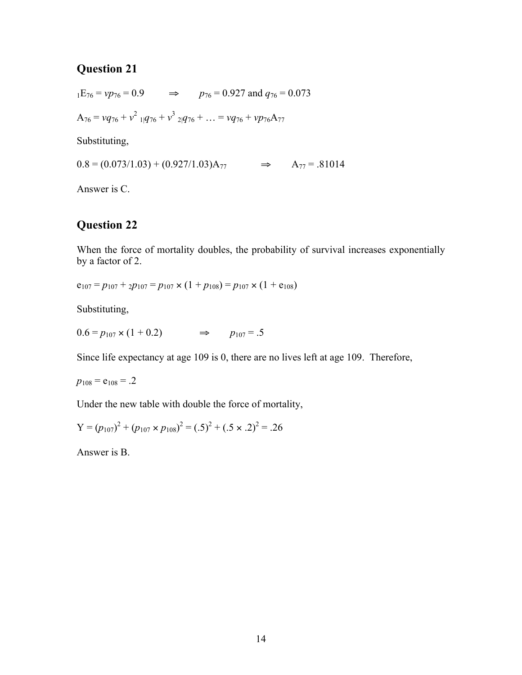$p_{76} = v p_{76} = 0.9$   $\Rightarrow p_{76} = 0.927$  and  $q_{76} = 0.073$  $A_{76} = vq_{76} + v^2 \frac{1}{4}q_{76} + v^3 \frac{1}{2}q_{76} + \dots = vq_{76} + vp_{76}A_{77}$ Substituting,

 $0.8 = (0.073/1.03) + (0.927/1.03)A_{77}$   $\Rightarrow$   $A_{77} = .81014$ 

Answer is C.

#### **Question 22**

When the force of mortality doubles, the probability of survival increases exponentially by a factor of 2.

$$
e_{107} = p_{107} + p_{107} = p_{107} \times (1 + p_{108}) = p_{107} \times (1 + e_{108})
$$

Substituting,

 $0.6 = p_{107} \times (1 + 0.2)$   $\implies$   $p_{107} = .5$ 

Since life expectancy at age 109 is 0, there are no lives left at age 109. Therefore,

 $p_{108} = e_{108} = .2$ 

Under the new table with double the force of mortality,

Y = 
$$
(p_{107})^2 + (p_{107} \times p_{108})^2 = (.5)^2 + (.5 \times .2)^2 = .26
$$

Answer is B.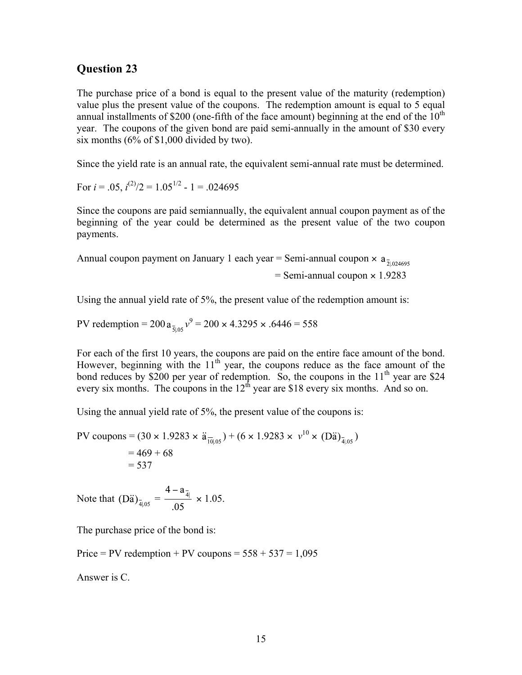The purchase price of a bond is equal to the present value of the maturity (redemption) value plus the present value of the coupons. The redemption amount is equal to 5 equal annual installments of \$200 (one-fifth of the face amount) beginning at the end of the  $10<sup>th</sup>$ year. The coupons of the given bond are paid semi-annually in the amount of \$30 every six months (6% of \$1,000 divided by two).

Since the yield rate is an annual rate, the equivalent semi-annual rate must be determined.

For  $i = .05$ ,  $i^{(2)}/2 = 1.05^{1/2}$  - 1 = .024695

Since the coupons are paid semiannually, the equivalent annual coupon payment as of the beginning of the year could be determined as the present value of the two coupon payments.

Annual coupon payment on January 1 each year = Semi-annual coupon  $\times$  a<sub> $\frac{1}{2,024695}$ </sub>  $=$  Semi-annual coupon  $\times$  1.9283

Using the annual yield rate of 5%, the present value of the redemption amount is:

PV redemption =  $200 a_{\frac{1}{2}0.05} v^9 = 200 \times 4.3295 \times 0.6446 = 558$ 

For each of the first 10 years, the coupons are paid on the entire face amount of the bond. However, beginning with the  $11<sup>th</sup>$  year, the coupons reduce as the face amount of the bond reduces by \$200 per year of redemption. So, the coupons in the  $11<sup>th</sup>$  year are \$24 every six months. The coupons in the  $12<sup>th</sup>$  year are \$18 every six months. And so on.

Using the annual yield rate of 5%, the present value of the coupons is:

PV coupons = 
$$
(30 \times 1.9283 \times \ddot{a}_{\overline{10}|.05}) + (6 \times 1.9283 \times \nu^{10} \times (D\ddot{a})_{\overline{4}|.05})
$$
  
= 469 + 68  
= 537

Note that  $(D\ddot{a})_{\bar{a}|_{.05}} = \frac{4 - a_{\bar{a}|}}{.05} \times 1.05.$ 

The purchase price of the bond is:

Price = PV redemption + PV coupons =  $558 + 537 = 1,095$ 

Answer is C.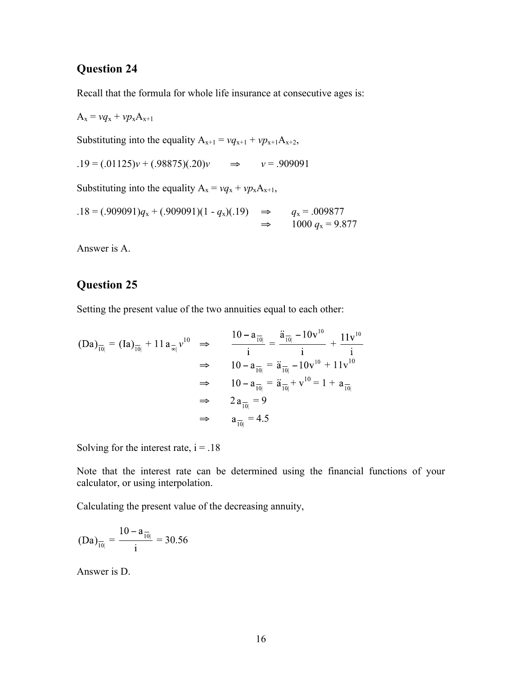Recall that the formula for whole life insurance at consecutive ages is:

$$
A_x = v q_x + v p_x A_{x+1}
$$
  
Substituting into the equality  $A_{x+1} = v q_{x+1} + v p_{x+1} A_{x+2}$ ,  

$$
.19 = (.01125)v + (.98875)(.20)v \implies v = .909091
$$
  
Substituting into the equality  $A_x = v q_x + v p_x A_{x+1}$ ,  

$$
.18 = (.909091)q_x + (.909091)(1 - q_x)(.19) \implies q_x = .009877
$$

$$
\implies 1000 q_x = 9.877
$$

Answer is A.

# **Question 25**

Setting the present value of the two annuities equal to each other:

$$
(Da)_{\overline{10|}} = (Ia)_{\overline{10|}} + 11 a_{\overline{\alpha}|} v^{10} \implies \frac{10 - a_{\overline{10|}}}{i} = \frac{\ddot{a}_{\overline{10|}} - 10v^{10}}{i} + \frac{11v^{10}}{i}
$$
  
\n
$$
\implies 10 - a_{\overline{10|}} = \ddot{a}_{\overline{10|}} - 10v^{10} + 11v^{10}
$$
  
\n
$$
\implies 10 - a_{\overline{10|}} = \ddot{a}_{\overline{10|}} + v^{10} = 1 + a_{\overline{10|}}
$$
  
\n
$$
\implies 2 a_{\overline{10|}} = 9
$$
  
\n
$$
\implies a_{\overline{10|}} = 4.5
$$

Solving for the interest rate,  $i = .18$ 

Note that the interest rate can be determined using the financial functions of your calculator, or using interpolation.

Calculating the present value of the decreasing annuity,

$$
(Da)_{\overline{10|}} = \frac{10 - a_{\overline{10|}}}{i} = 30.56
$$

Answer is D.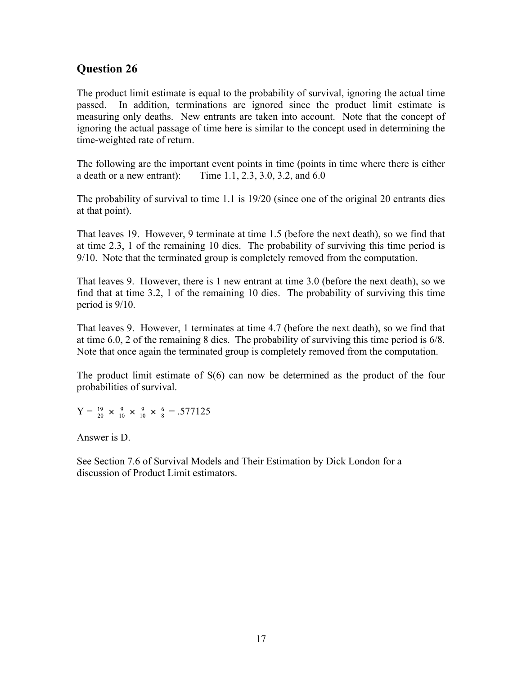The product limit estimate is equal to the probability of survival, ignoring the actual time passed. In addition, terminations are ignored since the product limit estimate is measuring only deaths. New entrants are taken into account. Note that the concept of ignoring the actual passage of time here is similar to the concept used in determining the time-weighted rate of return.

The following are the important event points in time (points in time where there is either a death or a new entrant): Time 1.1, 2.3, 3.0, 3.2, and 6.0

The probability of survival to time 1.1 is 19/20 (since one of the original 20 entrants dies at that point).

That leaves 19. However, 9 terminate at time 1.5 (before the next death), so we find that at time 2.3, 1 of the remaining 10 dies. The probability of surviving this time period is 9/10. Note that the terminated group is completely removed from the computation.

That leaves 9. However, there is 1 new entrant at time 3.0 (before the next death), so we find that at time 3.2, 1 of the remaining 10 dies. The probability of surviving this time period is 9/10.

That leaves 9. However, 1 terminates at time 4.7 (before the next death), so we find that at time 6.0, 2 of the remaining 8 dies. The probability of surviving this time period is 6/8. Note that once again the terminated group is completely removed from the computation.

The product limit estimate of S(6) can now be determined as the product of the four probabilities of survival.

$$
Y = \frac{19}{20} \times \frac{9}{10} \times \frac{9}{10} \times \frac{6}{8} = .577125
$$

Answer is D.

See Section 7.6 of Survival Models and Their Estimation by Dick London for a discussion of Product Limit estimators.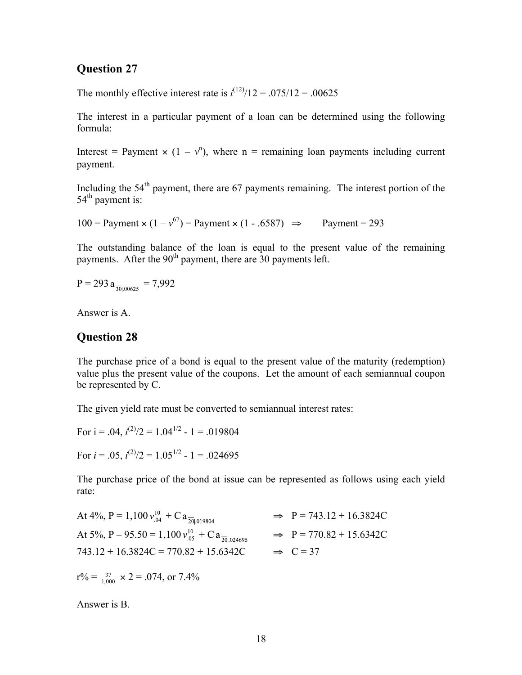The monthly effective interest rate is  $i^{(12)}/12 = .075/12 = .00625$ 

The interest in a particular payment of a loan can be determined using the following formula:

Interest = Payment  $\times$  (1 –  $v^n$ ), where n = remaining loan payments including current payment.

Including the  $54<sup>th</sup>$  payment, there are 67 payments remaining. The interest portion of the  $54<sup>th</sup>$  payment is:

100 = Payment  $\times (1 - v^{67})$  = Payment  $\times (1 - .6587)$   $\Rightarrow$  Payment = 293

The outstanding balance of the loan is equal to the present value of the remaining payments. After the 90<sup>th</sup> payment, there are 30 payments left.

$$
P = 293 a_{\frac{1}{30100625}} = 7,992
$$

Answer is A.

#### **Question 28**

The purchase price of a bond is equal to the present value of the maturity (redemption) value plus the present value of the coupons. Let the amount of each semiannual coupon be represented by C.

The given yield rate must be converted to semiannual interest rates:

For 
$$
i = .04
$$
,  $i^{(2)}/2 = 1.04^{1/2} - 1 = .019804$ 

For  $i = .05$ ,  $i^{(2)}/2 = 1.05^{1/2}$  - 1 = .024695

The purchase price of the bond at issue can be represented as follows using each yield rate:

| At 4%, P = 1,100 $v_{.04}^{10}$ + C a $\frac{1}{20 .019804}$            | $\Rightarrow$ P = 743.12 + 16.3824C |
|-------------------------------------------------------------------------|-------------------------------------|
| At 5%, P – 95.50 = 1,100 $v_{.05}^{10}$ + C a $\frac{1}{20}$ = 0.024695 | $\Rightarrow$ P = 770.82 + 15.6342C |
| $743.12 + 16.3824C = 770.82 + 15.6342C$                                 | $\Rightarrow$ C = 37                |
| $r\% = \frac{37}{1000} \times 2 = .074$ , or 7.4%                       |                                     |

Answer is B.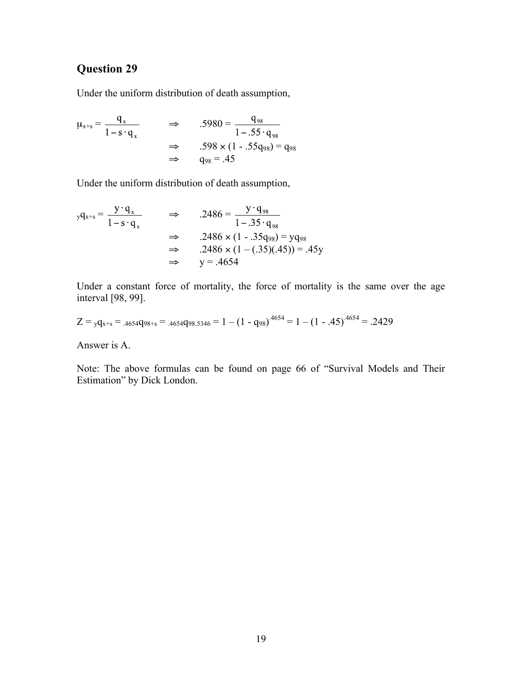Under the uniform distribution of death assumption,

 $\mu_{x+s} = \frac{q_x}{1}$   $\Rightarrow$  .5980 =  $\Rightarrow$  .598 × (1 - .55q<sub>98</sub>) = q<sub>98</sub>  $\Rightarrow$  q<sub>98</sub> = .45

Under the uniform distribution of death assumption,

$$
yq_{x+s} = \frac{y \cdot q_x}{1 - s \cdot q_x} \qquad \Rightarrow \qquad .2486 = \frac{y \cdot q_{98}}{1 - .35 \cdot q_{98}}
$$
  

$$
\Rightarrow \qquad .2486 \times (1 - .35q_{98}) = yq_{98}
$$
  

$$
\Rightarrow \qquad .2486 \times (1 - (.35)(.45)) = .45y
$$
  

$$
\Rightarrow \qquad y = .4654
$$

Under a constant force of mortality, the force of mortality is the same over the age interval [98, 99].

$$
Z = {}_{y}q_{x+s} = {}_{.4654}q_{98+s} = {}_{.4654}q_{98,5346} = 1 - (1 - q_{98})^{.4654} = 1 - (1 - .45)^{.4654} = .2429
$$

Answer is A.

Note: The above formulas can be found on page 66 of "Survival Models and Their Estimation" by Dick London.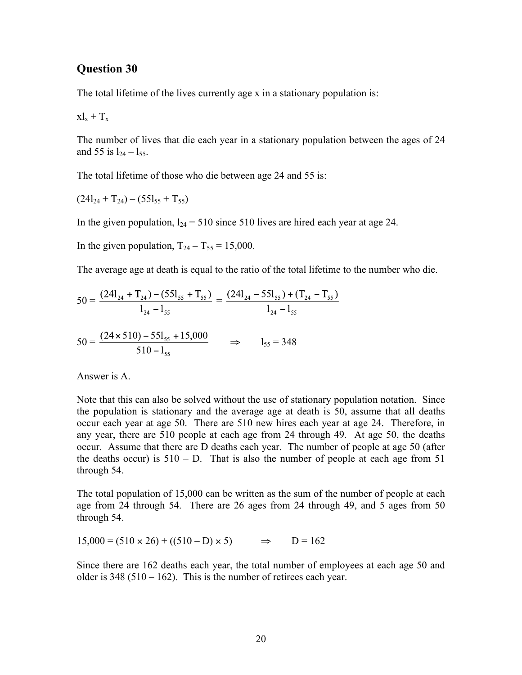The total lifetime of the lives currently age x in a stationary population is:

$$
x\boldsymbol{l}_x+\boldsymbol{T}_x
$$

The number of lives that die each year in a stationary population between the ages of 24 and 55 is  $l_{24} - l_{55}$ .

The total lifetime of those who die between age 24 and 55 is:

 $(24l_{24} + T_{24}) - (55l_{55} + T_{55})$ 

In the given population,  $l_{24} = 510$  since 510 lives are hired each year at age 24.

In the given population,  $T_{24} - T_{55} = 15,000$ .

The average age at death is equal to the ratio of the total lifetime to the number who die.

$$
50 = \frac{(24l_{24} + T_{24}) - (55l_{55} + T_{55})}{l_{24} - l_{55}} = \frac{(24l_{24} - 55l_{55}) + (T_{24} - T_{55})}{l_{24} - l_{55}}
$$

$$
(24 \times 510) - 55l_{15} + 15.000
$$

$$
50 = \frac{(24 \times 510) - 551_{55} + 15,000}{510 - 1_{55}} \qquad \Rightarrow \qquad 1_{55} = 348
$$

Answer is A.

Note that this can also be solved without the use of stationary population notation. Since the population is stationary and the average age at death is 50, assume that all deaths occur each year at age 50. There are 510 new hires each year at age 24. Therefore, in any year, there are 510 people at each age from 24 through 49. At age 50, the deaths occur. Assume that there are D deaths each year. The number of people at age 50 (after the deaths occur) is  $510 - D$ . That is also the number of people at each age from 51 through 54.

The total population of 15,000 can be written as the sum of the number of people at each age from 24 through 54. There are 26 ages from 24 through 49, and 5 ages from 50 through 54.

 $15,000 = (510 \times 26) + ((510 - D) \times 5)$   $\Rightarrow$   $D = 162$ 

Since there are 162 deaths each year, the total number of employees at each age 50 and older is  $348 (510 - 162)$ . This is the number of retirees each year.